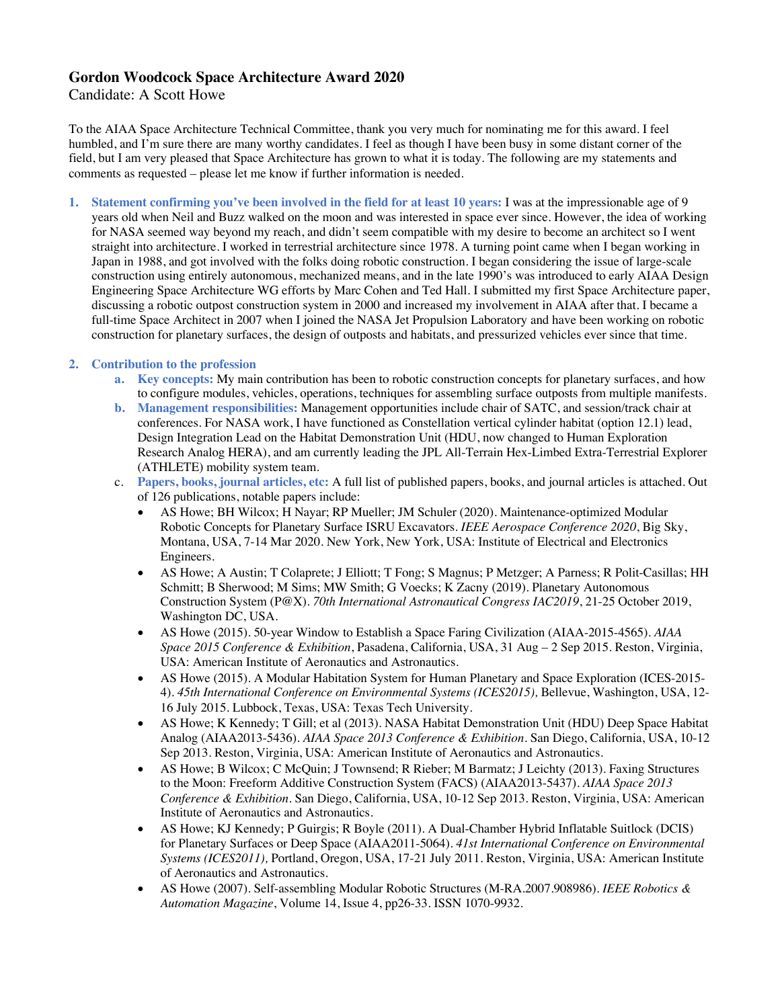## **Gordon Woodcock Space Architecture Award 2020**

## Candidate: A Scott Howe

To the AIAA Space Architecture Technical Committee, thank you very much for nominating me for this award. I feel humbled, and I'm sure there are many worthy candidates. I feel as though I have been busy in some distant corner of the field, but I am very pleased that Space Architecture has grown to what it is today. The following are my statements and comments as requested – please let me know if further information is needed.

**1. Statement confirming you've been involved in the field for at least 10 years:** I was at the impressionable age of 9 years old when Neil and Buzz walked on the moon and was interested in space ever since. However, the idea of working for NASA seemed way beyond my reach, and didn't seem compatible with my desire to become an architect so I went straight into architecture. I worked in terrestrial architecture since 1978. A turning point came when I began working in Japan in 1988, and got involved with the folks doing robotic construction. I began considering the issue of large-scale construction using entirely autonomous, mechanized means, and in the late 1990's was introduced to early AIAA Design Engineering Space Architecture WG efforts by Marc Cohen and Ted Hall. I submitted my first Space Architecture paper, discussing a robotic outpost construction system in 2000 and increased my involvement in AIAA after that. I became a full-time Space Architect in 2007 when I joined the NASA Jet Propulsion Laboratory and have been working on robotic construction for planetary surfaces, the design of outposts and habitats, and pressurized vehicles ever since that time.

## **2. Contribution to the profession**

- **a. Key concepts:** My main contribution has been to robotic construction concepts for planetary surfaces, and how to configure modules, vehicles, operations, techniques for assembling surface outposts from multiple manifests.
- **b. Management responsibilities:** Management opportunities include chair of SATC, and session/track chair at conferences. For NASA work, I have functioned as Constellation vertical cylinder habitat (option 12.1) lead, Design Integration Lead on the Habitat Demonstration Unit (HDU, now changed to Human Exploration Research Analog HERA), and am currently leading the JPL All-Terrain Hex-Limbed Extra-Terrestrial Explorer (ATHLETE) mobility system team.
- c. **Papers, books, journal articles, etc:** A full list of published papers, books, and journal articles is attached. Out of 126 publications, notable papers include:
	- AS Howe; BH Wilcox; H Nayar; RP Mueller; JM Schuler (2020). Maintenance-optimized Modular Robotic Concepts for Planetary Surface ISRU Excavators*. IEEE Aerospace Conference 2020*, Big Sky, Montana, USA, 7-14 Mar 2020. New York, New York, USA: Institute of Electrical and Electronics Engineers.
	- AS Howe; A Austin; T Colaprete; J Elliott; T Fong; S Magnus; P Metzger; A Parness; R Polit-Casillas; HH Schmitt; B Sherwood; M Sims; MW Smith; G Voecks; K Zacny (2019). Planetary Autonomous Construction System (P@X). *70th International Astronautical Congress IAC2019*, 21-25 October 2019, Washington DC, USA.
	- AS Howe (2015). 50-year Window to Establish a Space Faring Civilization (AIAA-2015-4565). *AIAA Space 2015 Conference & Exhibition*, Pasadena, California, USA, 31 Aug – 2 Sep 2015. Reston, Virginia, USA: American Institute of Aeronautics and Astronautics.
	- AS Howe (2015). A Modular Habitation System for Human Planetary and Space Exploration (ICES-2015- 4). *45th International Conference on Environmental Systems (ICES2015),* Bellevue, Washington, USA, 12- 16 July 2015. Lubbock, Texas, USA: Texas Tech University.
	- AS Howe; K Kennedy; T Gill; et al (2013). NASA Habitat Demonstration Unit (HDU) Deep Space Habitat Analog (AIAA2013-5436). *AIAA Space 2013 Conference & Exhibition*. San Diego, California, USA, 10-12 Sep 2013. Reston, Virginia, USA: American Institute of Aeronautics and Astronautics.
	- AS Howe; B Wilcox; C McQuin; J Townsend; R Rieber; M Barmatz; J Leichty (2013). Faxing Structures to the Moon: Freeform Additive Construction System (FACS) (AIAA2013-5437). *AIAA Space 2013 Conference & Exhibition*. San Diego, California, USA, 10-12 Sep 2013. Reston, Virginia, USA: American Institute of Aeronautics and Astronautics.
	- AS Howe; KJ Kennedy; P Guirgis; R Boyle (2011). A Dual-Chamber Hybrid Inflatable Suitlock (DCIS) for Planetary Surfaces or Deep Space (AIAA2011-5064). *41st International Conference on Environmental Systems (ICES2011),* Portland, Oregon, USA, 17-21 July 2011. Reston, Virginia, USA: American Institute of Aeronautics and Astronautics.
	- AS Howe (2007). Self-assembling Modular Robotic Structures (M-RA.2007.908986). *IEEE Robotics & Automation Magazine*, Volume 14, Issue 4, pp26-33. ISSN 1070-9932.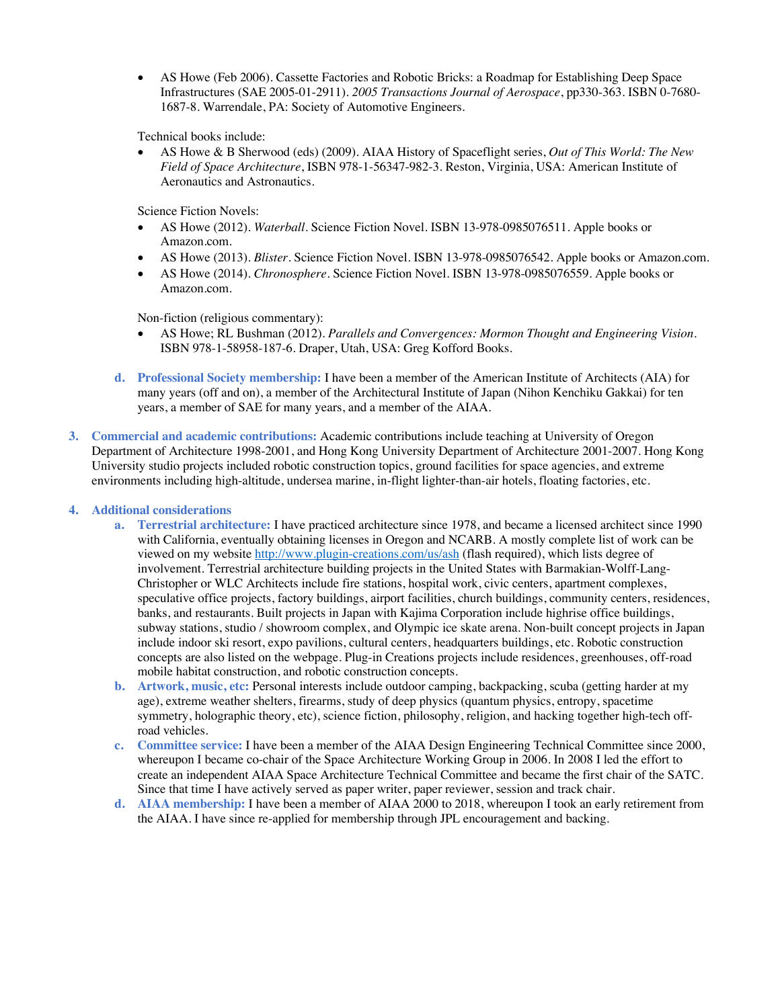• AS Howe (Feb 2006). Cassette Factories and Robotic Bricks: a Roadmap for Establishing Deep Space Infrastructures (SAE 2005-01-2911). *2005 Transactions Journal of Aerospace*, pp330-363. ISBN 0-7680- 1687-8. Warrendale, PA: Society of Automotive Engineers.

Technical books include:

• AS Howe & B Sherwood (eds) (2009). AIAA History of Spaceflight series, *Out of This World: The New Field of Space Architecture*, ISBN 978-1-56347-982-3. Reston, Virginia, USA: American Institute of Aeronautics and Astronautics.

Science Fiction Novels:

- AS Howe (2012). *Waterball*. Science Fiction Novel. ISBN 13-978-0985076511. Apple books or Amazon.com.
- AS Howe (2013). *Blister*. Science Fiction Novel. ISBN 13-978-0985076542. Apple books or Amazon.com.
- AS Howe (2014). *Chronosphere*. Science Fiction Novel. ISBN 13-978-0985076559. Apple books or Amazon.com.

Non-fiction (religious commentary):

- AS Howe; RL Bushman (2012). *Parallels and Convergences: Mormon Thought and Engineering Vision.* ISBN 978-1-58958-187-6. Draper, Utah, USA: Greg Kofford Books.
- **d. Professional Society membership:** I have been a member of the American Institute of Architects (AIA) for many years (off and on), a member of the Architectural Institute of Japan (Nihon Kenchiku Gakkai) for ten years, a member of SAE for many years, and a member of the AIAA.
- **3. Commercial and academic contributions:** Academic contributions include teaching at University of Oregon Department of Architecture 1998-2001, and Hong Kong University Department of Architecture 2001-2007. Hong Kong University studio projects included robotic construction topics, ground facilities for space agencies, and extreme environments including high-altitude, undersea marine, in-flight lighter-than-air hotels, floating factories, etc.

**4. Additional considerations**

- **a. Terrestrial architecture:** I have practiced architecture since 1978, and became a licensed architect since 1990 with California, eventually obtaining licenses in Oregon and NCARB. A mostly complete list of work can be viewed on my website http://www.plugin-creations.com/us/ash (flash required), which lists degree of involvement. Terrestrial architecture building projects in the United States with Barmakian-Wolff-Lang-Christopher or WLC Architects include fire stations, hospital work, civic centers, apartment complexes, speculative office projects, factory buildings, airport facilities, church buildings, community centers, residences, banks, and restaurants. Built projects in Japan with Kajima Corporation include highrise office buildings, subway stations, studio / showroom complex, and Olympic ice skate arena. Non-built concept projects in Japan include indoor ski resort, expo pavilions, cultural centers, headquarters buildings, etc. Robotic construction concepts are also listed on the webpage. Plug-in Creations projects include residences, greenhouses, off-road mobile habitat construction, and robotic construction concepts.
- **b. Artwork, music, etc:** Personal interests include outdoor camping, backpacking, scuba (getting harder at my age), extreme weather shelters, firearms, study of deep physics (quantum physics, entropy, spacetime symmetry, holographic theory, etc), science fiction, philosophy, religion, and hacking together high-tech offroad vehicles.
- **c. Committee service:** I have been a member of the AIAA Design Engineering Technical Committee since 2000, whereupon I became co-chair of the Space Architecture Working Group in 2006. In 2008 I led the effort to create an independent AIAA Space Architecture Technical Committee and became the first chair of the SATC. Since that time I have actively served as paper writer, paper reviewer, session and track chair.
- **d. AIAA membership:** I have been a member of AIAA 2000 to 2018, whereupon I took an early retirement from the AIAA. I have since re-applied for membership through JPL encouragement and backing.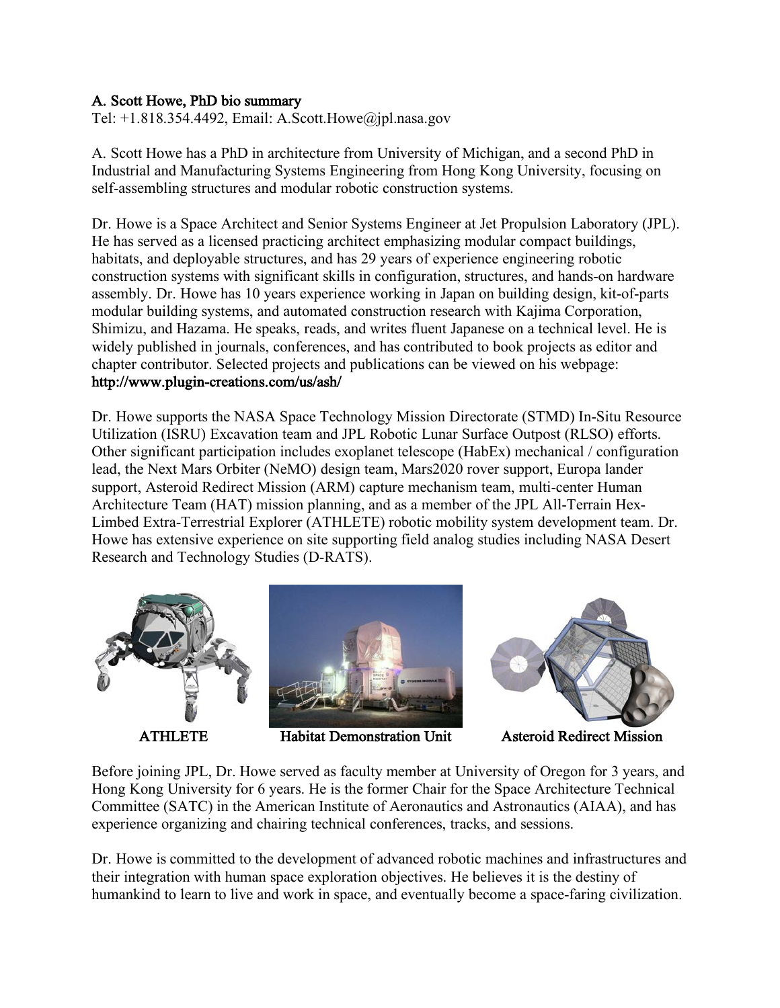# A. Scott Howe, PhD bio summary

Tel: +1.818.354.4492, Email: A.Scott.Howe@jpl.nasa.gov

A. Scott Howe has a PhD in architecture from University of Michigan, and a second PhD in Industrial and Manufacturing Systems Engineering from Hong Kong University, focusing on self-assembling structures and modular robotic construction systems.

Dr. Howe is a Space Architect and Senior Systems Engineer at Jet Propulsion Laboratory (JPL). He has served as a licensed practicing architect emphasizing modular compact buildings, habitats, and deployable structures, and has 29 years of experience engineering robotic construction systems with significant skills in configuration, structures, and hands-on hardware assembly. Dr. Howe has 10 years experience working in Japan on building design, kit-of-parts modular building systems, and automated construction research with Kajima Corporation, Shimizu, and Hazama. He speaks, reads, and writes fluent Japanese on a technical level. He is widely published in journals, conferences, and has contributed to book projects as editor and chapter contributor. Selected projects and publications can be viewed on his webpage: http://www.plugin-creations.com/us/ash/

Dr. Howe supports the NASA Space Technology Mission Directorate (STMD) In-Situ Resource Utilization (ISRU) Excavation team and JPL Robotic Lunar Surface Outpost (RLSO) efforts. Other significant participation includes exoplanet telescope (HabEx) mechanical / configuration lead, the Next Mars Orbiter (NeMO) design team, Mars2020 rover support, Europa lander support, Asteroid Redirect Mission (ARM) capture mechanism team, multi-center Human Architecture Team (HAT) mission planning, and as a member of the JPL All-Terrain Hex-Limbed Extra-Terrestrial Explorer (ATHLETE) robotic mobility system development team. Dr. Howe has extensive experience on site supporting field analog studies including NASA Desert Research and Technology Studies (D-RATS).





ATHLETE Habitat Demonstration Unit Asteroid Redirect Mission



Before joining JPL, Dr. Howe served as faculty member at University of Oregon for 3 years, and Hong Kong University for 6 years. He is the former Chair for the Space Architecture Technical Committee (SATC) in the American Institute of Aeronautics and Astronautics (AIAA), and has experience organizing and chairing technical conferences, tracks, and sessions.

Dr. Howe is committed to the development of advanced robotic machines and infrastructures and their integration with human space exploration objectives. He believes it is the destiny of humankind to learn to live and work in space, and eventually become a space-faring civilization.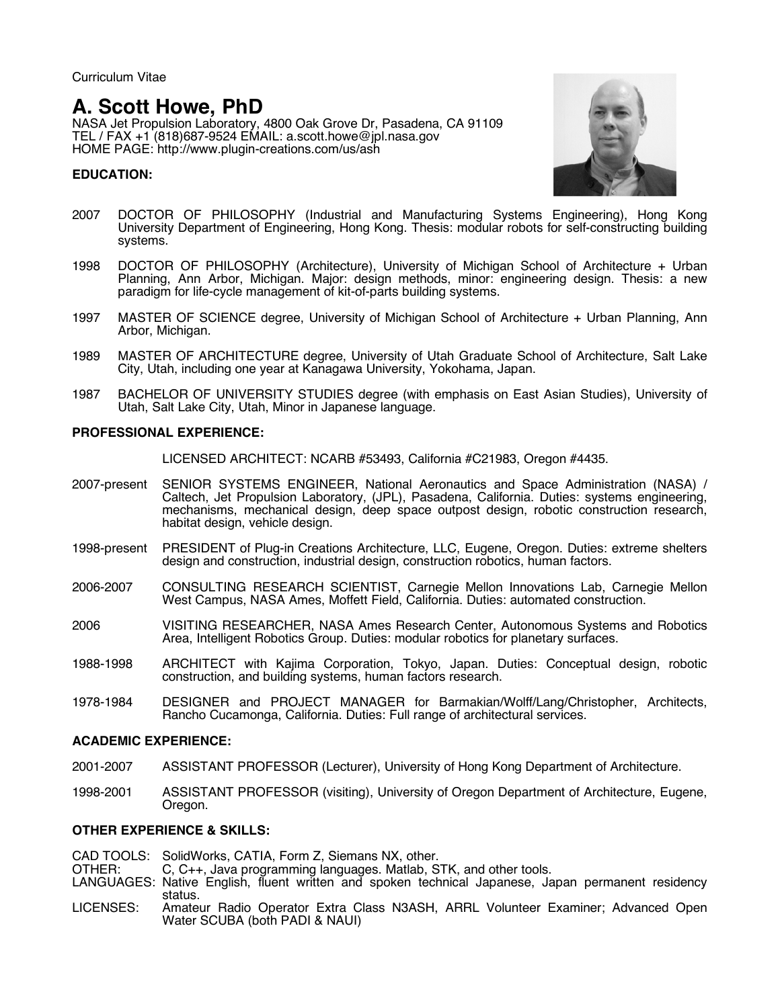Curriculum Vitae

# **A. Scott Howe, PhD**

NASA Jet Propulsion Laboratory, 4800 Oak Grove Dr, Pasadena, CA 91109 TEL / FAX +1 (818)687-9524 EMAIL: a.scott.howe@jpl.nasa.gov HOME PAGE: http://www.plugin-creations.com/us/ash

## **EDUCATION:**



- 2007 DOCTOR OF PHILOSOPHY (Industrial and Manufacturing Systems Engineering), Hong Kong University Department of Engineering, Hong Kong. Thesis: modular robots for self-constructing building systems.
- 1998 DOCTOR OF PHILOSOPHY (Architecture), University of Michigan School of Architecture + Urban Planning, Ann Arbor, Michigan. Major: design methods, minor: engineering design. Thesis: a new paradigm for life-cycle management of kit-of-parts building systems.
- 1997 MASTER OF SCIENCE degree, University of Michigan School of Architecture + Urban Planning, Ann Arbor, Michigan.
- 1989 MASTER OF ARCHITECTURE degree, University of Utah Graduate School of Architecture, Salt Lake City, Utah, including one year at Kanagawa University, Yokohama, Japan.
- 1987 BACHELOR OF UNIVERSITY STUDIES degree (with emphasis on East Asian Studies), University of Utah, Salt Lake City, Utah, Minor in Japanese language.

#### **PROFESSIONAL EXPERIENCE:**

LICENSED ARCHITECT: NCARB #53493, California #C21983, Oregon #4435.

- 2007-present SENIOR SYSTEMS ENGINEER, National Aeronautics and Space Administration (NASA) / Caltech, Jet Propulsion Laboratory, (JPL), Pasadena, California. Duties: systems engineering, mechanisms, mechanical design, deep space outpost design, robotic construction research, habitat design, vehicle design.
- 1998-present PRESIDENT of Plug-in Creations Architecture, LLC, Eugene, Oregon. Duties: extreme shelters design and construction, industrial design, construction robotics, human factors.
- 2006-2007 CONSULTING RESEARCH SCIENTIST, Carnegie Mellon Innovations Lab, Carnegie Mellon West Campus, NASA Ames, Moffett Field, California. Duties: automated construction.
- 2006 VISITING RESEARCHER, NASA Ames Research Center, Autonomous Systems and Robotics Area, Intelligent Robotics Group. Duties: modular robotics for planetary surfaces.
- 1988-1998 ARCHITECT with Kajima Corporation, Tokyo, Japan. Duties: Conceptual design, robotic construction, and building systems, human factors research.
- 1978-1984 DESIGNER and PROJECT MANAGER for Barmakian/Wolff/Lang/Christopher, Architects, Rancho Cucamonga, California. Duties: Full range of architectural services.

#### **ACADEMIC EXPERIENCE:**

- 2001-2007 ASSISTANT PROFESSOR (Lecturer), University of Hong Kong Department of Architecture.
- 1998-2001 ASSISTANT PROFESSOR (visiting), University of Oregon Department of Architecture, Eugene, Oregon.

#### **OTHER EXPERIENCE & SKILLS:**

CAD TOOLS: SolidWorks, CATIA, Form Z, Siemans NX, other.<br>OTHER: C, C++, Java programming languages. Matlab, S

 $C, C_{++}$ , Java programming languages. Matlab, STK, and other tools.

- LANGUAGES: Native English, fluent written and spoken technical Japanese, Japan permanent residency status.
- LICENSES: Amateur Radio Operator Extra Class N3ASH, ARRL Volunteer Examiner; Advanced Open Water SCUBA (both PADI & NAUI)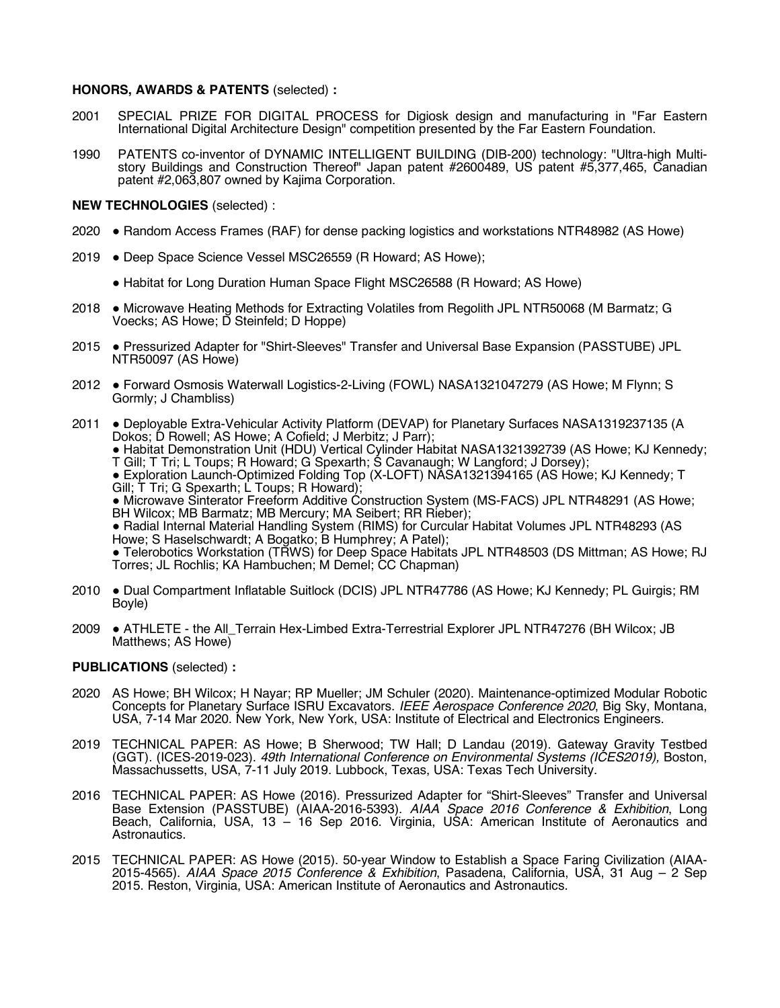#### **HONORS, AWARDS & PATENTS** (selected) **:**

- 2001 SPECIAL PRIZE FOR DIGITAL PROCESS for Digiosk design and manufacturing in "Far Eastern International Digital Architecture Design" competition presented by the Far Eastern Foundation.
- 1990 PATENTS co-inventor of DYNAMIC INTELLIGENT BUILDING (DIB-200) technology: "Ultra-high Multistory Buildings and Construction Thereof" Japan patent #2600489, US patent #5,377,465, Canadian patent #2,063,807 owned by Kajima Corporation.

#### **NEW TECHNOLOGIES** (selected) :

- 2020 ! Random Access Frames (RAF) for dense packing logistics and workstations NTR48982 (AS Howe)
- 2019 . Deep Space Science Vessel MSC26559 (R Howard; AS Howe);
	- ! Habitat for Long Duration Human Space Flight MSC26588 (R Howard; AS Howe)
- 2018 . Microwave Heating Methods for Extracting Volatiles from Regolith JPL NTR50068 (M Barmatz; G Voecks; AS Howe; D Steinfeld; D Hoppe)
- 2015 . Pressurized Adapter for "Shirt-Sleeves" Transfer and Universal Base Expansion (PASSTUBE) JPL NTR50097 (AS Howe)
- 2012 . Forward Osmosis Waterwall Logistics-2-Living (FOWL) NASA1321047279 (AS Howe; M Flynn; S Gormly; J Chambliss)
- 2011 . Deployable Extra-Vehicular Activity Platform (DEVAP) for Planetary Surfaces NASA1319237135 (A Dokos; D Rowell; AS Howe; A Cofield; J Merbitz; J Parr);

! Habitat Demonstration Unit (HDU) Vertical Cylinder Habitat NASA1321392739 (AS Howe; KJ Kennedy; T Gill; T Tri; L Toups; R Howard; G Spexarth; S Cavanaugh; W Langford; J Dorsey);

! Exploration Launch-Optimized Folding Top (X-LOFT) NASA1321394165 (AS Howe; KJ Kennedy; T Gill; T Tri; G Spexarth; L Toups; R Howard);<br>• Microwave Sinterator Freeform Additive Construction System (MS-FACS) JPL NTR48291 (AS Howe;

BH Wilcox; MB Barmatz; MB Mercury; MA Seibert; RR Rieber);

! Radial Internal Material Handling System (RIMS) for Curcular Habitat Volumes JPL NTR48293 (AS Howe; S Haselschwardt; A Bogatko; B Humphrey; A Patel);

• Telerobotics Workstation (TRWS) for Deep Space Habitats JPL NTR48503 (DS Mittman; AS Howe; RJ Torres; JL Rochlis; KA Hambuchen; M Demel; CC Chapman)

- 2010 . Dual Compartment Inflatable Suitlock (DCIS) JPL NTR47786 (AS Howe; KJ Kennedy; PL Guirgis; RM Boyle)
- 2009 . ATHLETE the All\_Terrain Hex-Limbed Extra-Terrestrial Explorer JPL NTR47276 (BH Wilcox; JB Matthews; AS Howe)

#### **PUBLICATIONS** (selected) **:**

- 2020 AS Howe; BH Wilcox; H Nayar; RP Mueller; JM Schuler (2020). Maintenance-optimized Modular Robotic Concepts for Planetary Surface ISRU Excavators. *IEEE Aerospace Conference 2020*, Big Sky, Montana, USA, 7-14 Mar 2020. New York, New York, USA: Institute of Electrical and Electronics Engineers.
- 2019 TECHNICAL PAPER: AS Howe; B Sherwood; TW Hall; D Landau (2019). Gateway Gravity Testbed (GGT). (ICES-2019-023). *49th International Conference on Environmental Systems (ICES2019),* Boston, Massachussetts, USA, 7-11 July 2019. Lubbock, Texas, USA: Texas Tech University.
- 2016 TECHNICAL PAPER: AS Howe (2016). Pressurized Adapter for "Shirt-Sleeves" Transfer and Universal Base Extension (PASSTUBE) (AIAA-2016-5393). *AIAA Space 2016 Conference & Exhibition*, Long Beach, California, USA, 13 – 16 Sep 2016. Virginia, USA: American Institute of Aeronautics and Astronautics.
- 2015 TECHNICAL PAPER: AS Howe (2015). 50-year Window to Establish a Space Faring Civilization (AIAA-2015-4565). *AIAA Space 2015 Conference & Exhibition*, Pasadena, California, USA, 31 Aug – 2 Sep 2015. Reston, Virginia, USA: American Institute of Aeronautics and Astronautics.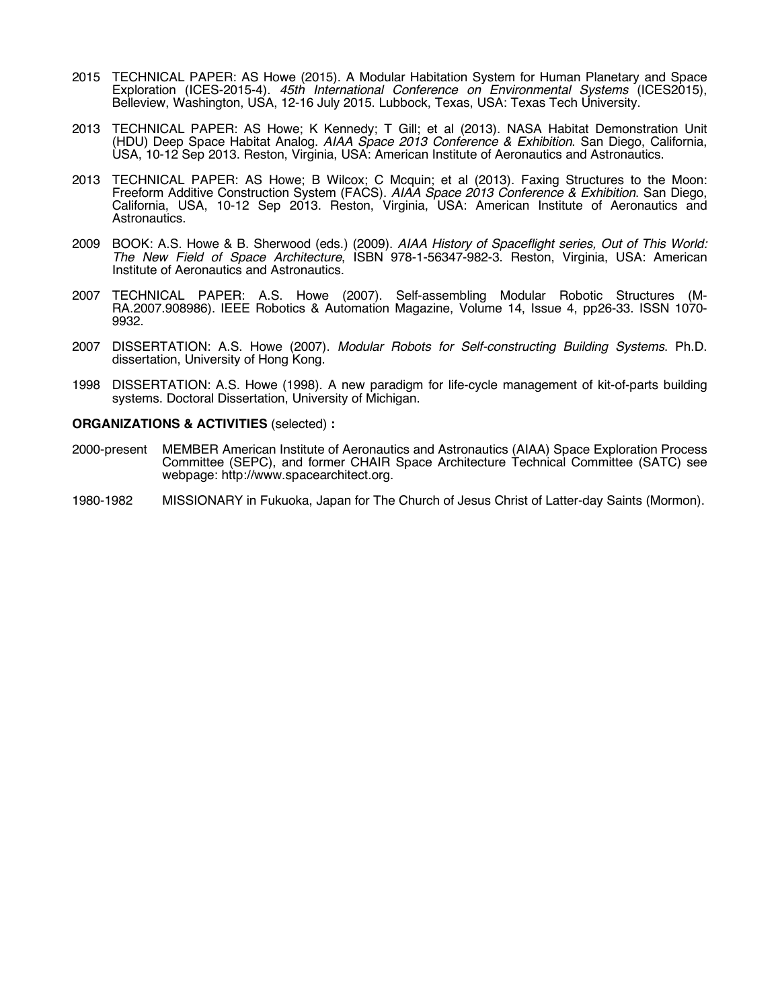- 2015 TECHNICAL PAPER: AS Howe (2015). A Modular Habitation System for Human Planetary and Space Exploration (ICES-2015-4). *45th International Conference on Environmental Systems* (ICES2015), Belleview, Washington, USA, 12-16 July 2015. Lubbock, Texas, USA: Texas Tech University.
- 2013 TECHNICAL PAPER: AS Howe; K Kennedy; T Gill; et al (2013). NASA Habitat Demonstration Unit (HDU) Deep Space Habitat Analog. *AIAA Space 2013 Conference & Exhibition*. San Diego, California, USA, 10-12 Sep 2013. Reston, Virginia, USA: American Institute of Aeronautics and Astronautics.
- 2013 TECHNICAL PAPER: AS Howe; B Wilcox; C Mcquin; et al (2013). Faxing Structures to the Moon: Freeform Additive Construction System (FACS). *AIAA Space 2013 Conference & Exhibition*. San Diego, California, USA, 10-12 Sep 2013. Reston, Virginia, USA: American Institute of Aeronautics and Astronautics.
- 2009 BOOK: A.S. Howe & B. Sherwood (eds.) (2009). *AIAA History of Spaceflight series, Out of This World: The New Field of Space Architecture*, ISBN 978-1-56347-982-3. Reston, Virginia, USA: American Institute of Aeronautics and Astronautics.
- 2007 TECHNICAL PAPER: A.S. Howe (2007). Self-assembling Modular Robotic Structures (M-RA.2007.908986). IEEE Robotics & Automation Magazine, Volume 14, Issue 4, pp26-33. ISSN 1070- 9932.
- 2007 DISSERTATION: A.S. Howe (2007). *Modular Robots for Self-constructing Building Systems*. Ph.D. dissertation, University of Hong Kong.
- 1998 DISSERTATION: A.S. Howe (1998). A new paradigm for life-cycle management of kit-of-parts building systems. Doctoral Dissertation, University of Michigan.

#### **ORGANIZATIONS & ACTIVITIES** (selected) **:**

- 2000-present MEMBER American Institute of Aeronautics and Astronautics (AIAA) Space Exploration Process Committee (SEPC), and former CHAIR Space Architecture Technical Committee (SATC) see webpage: http://www.spacearchitect.org.
- 1980-1982 MISSIONARY in Fukuoka, Japan for The Church of Jesus Christ of Latter-day Saints (Mormon).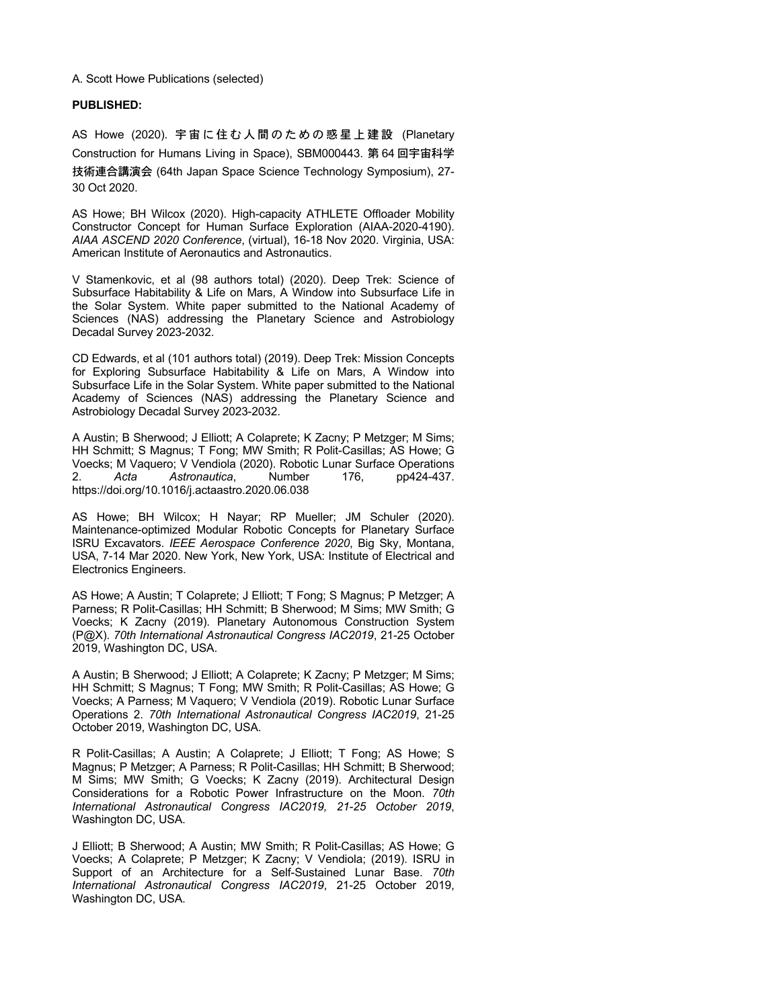#### A. Scott Howe Publications (selected)

#### **PUBLISHED:**

AS Howe (2020). 宇宙に住む人間のための惑星上建設 (Planetary Construction for Humans Living in Space), SBM000443. 第 64 回宇宙科学 技術連合講演会 (64th Japan Space Science Technology Symposium), 27- 30 Oct 2020.

AS Howe; BH Wilcox (2020). High-capacity ATHLETE Offloader Mobility Constructor Concept for Human Surface Exploration (AIAA-2020-4190). *AIAA ASCEND 2020 Conference*, (virtual), 16-18 Nov 2020. Virginia, USA: American Institute of Aeronautics and Astronautics.

V Stamenkovic, et al (98 authors total) (2020). Deep Trek: Science of Subsurface Habitability & Life on Mars, A Window into Subsurface Life in the Solar System. White paper submitted to the National Academy of Sciences (NAS) addressing the Planetary Science and Astrobiology Decadal Survey 2023-2032.

CD Edwards, et al (101 authors total) (2019). Deep Trek: Mission Concepts for Exploring Subsurface Habitability & Life on Mars, A Window into Subsurface Life in the Solar System. White paper submitted to the National Academy of Sciences (NAS) addressing the Planetary Science and Astrobiology Decadal Survey 2023-2032.

A Austin; B Sherwood; J Elliott; A Colaprete; K Zacny; P Metzger; M Sims; HH Schmitt; S Magnus; T Fong; MW Smith; R Polit-Casillas; AS Howe; G Voecks; M Vaquero; V Vendiola (2020). Robotic Lunar Surface Operations 2. *Acta Astronautica*, Number 176, pp424-437. https://doi.org/10.1016/j.actaastro.2020.06.038

AS Howe; BH Wilcox; H Nayar; RP Mueller; JM Schuler (2020). Maintenance-optimized Modular Robotic Concepts for Planetary Surface ISRU Excavators. *IEEE Aerospace Conference 2020*, Big Sky, Montana, USA, 7-14 Mar 2020. New York, New York, USA: Institute of Electrical and Electronics Engineers.

AS Howe; A Austin; T Colaprete; J Elliott; T Fong; S Magnus; P Metzger; A Parness; R Polit-Casillas; HH Schmitt; B Sherwood; M Sims; MW Smith; G Voecks; K Zacny (2019). Planetary Autonomous Construction System (P@X). *70th International Astronautical Congress IAC2019*, 21-25 October 2019, Washington DC, USA.

A Austin; B Sherwood; J Elliott; A Colaprete; K Zacny; P Metzger; M Sims; HH Schmitt; S Magnus; T Fong; MW Smith; R Polit-Casillas; AS Howe; G Voecks; A Parness; M Vaquero; V Vendiola (2019). Robotic Lunar Surface Operations 2. *70th International Astronautical Congress IAC2019*, 21-25 October 2019, Washington DC, USA.

R Polit-Casillas; A Austin; A Colaprete; J Elliott; T Fong; AS Howe; S Magnus; P Metzger; A Parness; R Polit-Casillas; HH Schmitt; B Sherwood; M Sims; MW Smith; G Voecks; K Zacny (2019). Architectural Design Considerations for a Robotic Power Infrastructure on the Moon. *70th International Astronautical Congress IAC2019, 21-25 October 2019*, Washington DC, USA.

J Elliott; B Sherwood; A Austin; MW Smith; R Polit-Casillas; AS Howe; G Voecks; A Colaprete; P Metzger; K Zacny; V Vendiola; (2019). ISRU in Support of an Architecture for a Self-Sustained Lunar Base. *70th International Astronautical Congress IAC2019*, 21-25 October 2019, Washington DC, USA.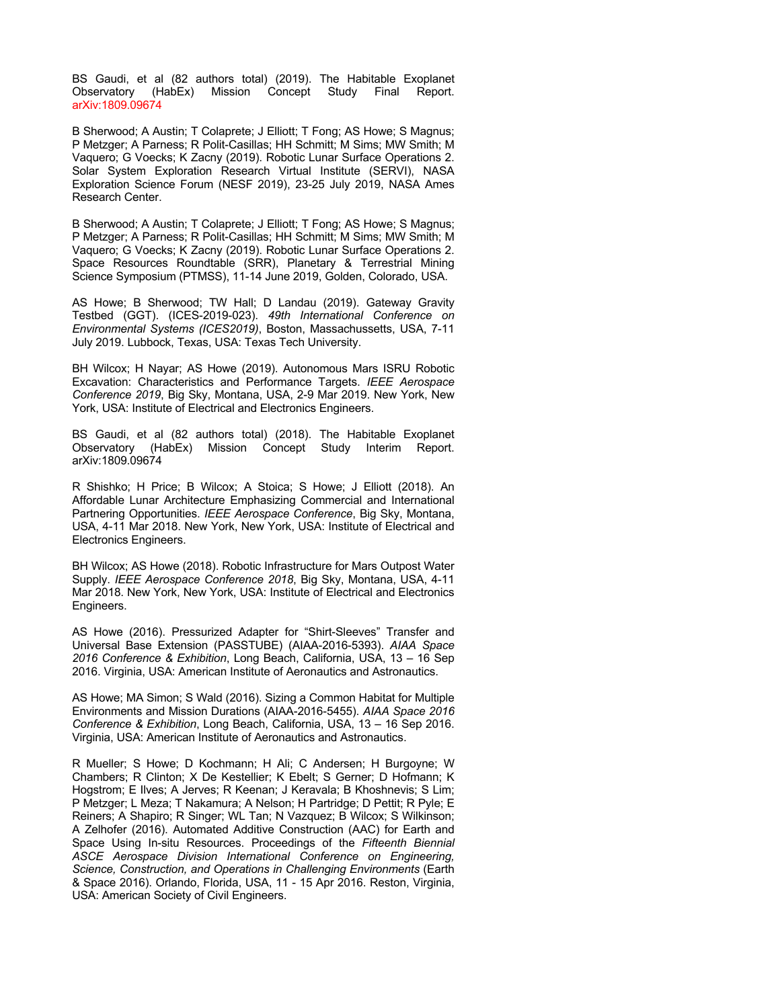BS Gaudi, et al (82 authors total) (2019). The Habitable Exoplanet Observatory (HabEx) Mission Concept Study Final Report. arXiv:1809.09674

B Sherwood; A Austin; T Colaprete; J Elliott; T Fong; AS Howe; S Magnus; P Metzger; A Parness; R Polit-Casillas; HH Schmitt; M Sims; MW Smith; M Vaquero; G Voecks; K Zacny (2019). Robotic Lunar Surface Operations 2. Solar System Exploration Research Virtual Institute (SERVI), NASA Exploration Science Forum (NESF 2019), 23-25 July 2019, NASA Ames Research Center.

B Sherwood; A Austin; T Colaprete; J Elliott; T Fong; AS Howe; S Magnus; P Metzger; A Parness; R Polit-Casillas; HH Schmitt; M Sims; MW Smith; M Vaquero; G Voecks; K Zacny (2019). Robotic Lunar Surface Operations 2. Space Resources Roundtable (SRR), Planetary & Terrestrial Mining Science Symposium (PTMSS), 11-14 June 2019, Golden, Colorado, USA.

AS Howe; B Sherwood; TW Hall; D Landau (2019). Gateway Gravity Testbed (GGT). (ICES-2019-023). *49th International Conference on Environmental Systems (ICES2019)*, Boston, Massachussetts, USA, 7-11 July 2019. Lubbock, Texas, USA: Texas Tech University.

BH Wilcox; H Nayar; AS Howe (2019). Autonomous Mars ISRU Robotic Excavation: Characteristics and Performance Targets. *IEEE Aerospace Conference 2019*, Big Sky, Montana, USA, 2-9 Mar 2019. New York, New York, USA: Institute of Electrical and Electronics Engineers.

BS Gaudi, et al (82 authors total) (2018). The Habitable Exoplanet Observatory (HabEx) Mission Concept Study Interim Report. arXiv:1809.09674

R Shishko; H Price; B Wilcox; A Stoica; S Howe; J Elliott (2018). An Affordable Lunar Architecture Emphasizing Commercial and International Partnering Opportunities. *IEEE Aerospace Conference*, Big Sky, Montana, USA, 4-11 Mar 2018. New York, New York, USA: Institute of Electrical and Electronics Engineers.

BH Wilcox; AS Howe (2018). Robotic Infrastructure for Mars Outpost Water Supply. *IEEE Aerospace Conference 2018*, Big Sky, Montana, USA, 4-11 Mar 2018. New York, New York, USA: Institute of Electrical and Electronics Engineers.

AS Howe (2016). Pressurized Adapter for "Shirt-Sleeves" Transfer and Universal Base Extension (PASSTUBE) (AIAA-2016-5393). *AIAA Space 2016 Conference & Exhibition*, Long Beach, California, USA, 13 – 16 Sep 2016. Virginia, USA: American Institute of Aeronautics and Astronautics.

AS Howe; MA Simon; S Wald (2016). Sizing a Common Habitat for Multiple Environments and Mission Durations (AIAA-2016-5455). *AIAA Space 2016 Conference & Exhibition*, Long Beach, California, USA, 13 – 16 Sep 2016. Virginia, USA: American Institute of Aeronautics and Astronautics.

R Mueller; S Howe; D Kochmann; H Ali; C Andersen; H Burgoyne; W Chambers; R Clinton; X De Kestellier; K Ebelt; S Gerner; D Hofmann; K Hogstrom; E Ilves; A Jerves; R Keenan; J Keravala; B Khoshnevis; S Lim; P Metzger; L Meza; T Nakamura; A Nelson; H Partridge; D Pettit; R Pyle; E Reiners; A Shapiro; R Singer; WL Tan; N Vazquez; B Wilcox; S Wilkinson; A Zelhofer (2016). Automated Additive Construction (AAC) for Earth and Space Using In-situ Resources. Proceedings of the *Fifteenth Biennial ASCE Aerospace Division International Conference on Engineering, Science, Construction, and Operations in Challenging Environments* (Earth & Space 2016). Orlando, Florida, USA, 11 - 15 Apr 2016. Reston, Virginia, USA: American Society of Civil Engineers.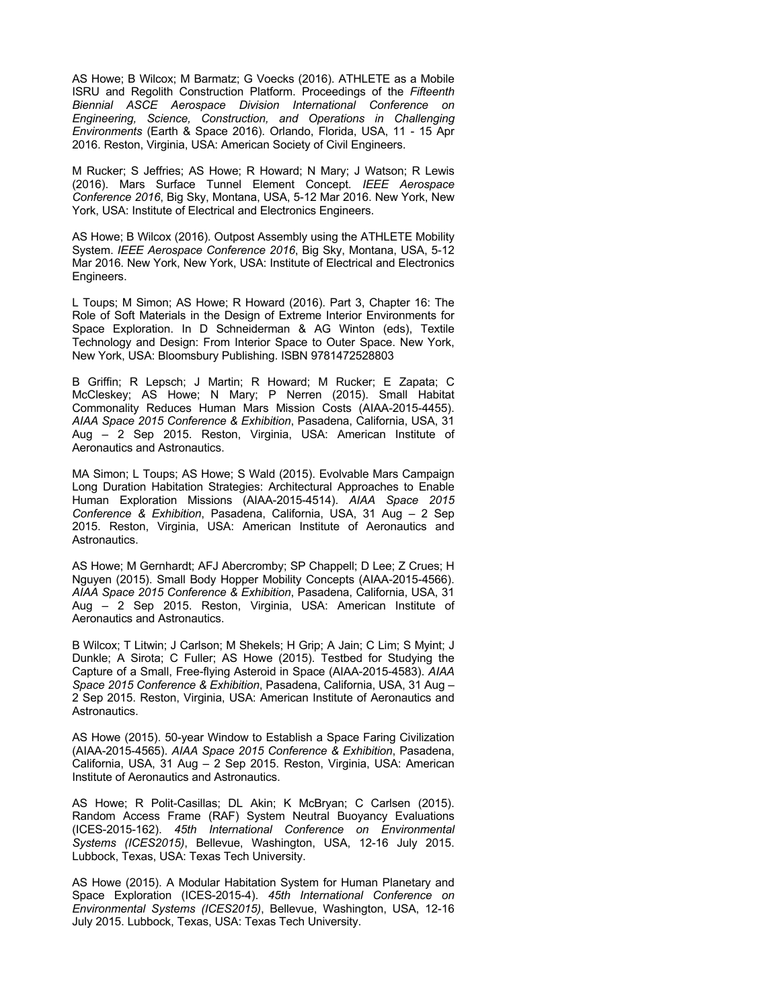AS Howe; B Wilcox; M Barmatz; G Voecks (2016). ATHLETE as a Mobile ISRU and Regolith Construction Platform. Proceedings of the *Fifteenth Biennial ASCE Aerospace Division International Conference on Engineering, Science, Construction, and Operations in Challenging Environments* (Earth & Space 2016). Orlando, Florida, USA, 11 - 15 Apr 2016. Reston, Virginia, USA: American Society of Civil Engineers.

M Rucker; S Jeffries; AS Howe; R Howard; N Mary; J Watson; R Lewis (2016). Mars Surface Tunnel Element Concept. *IEEE Aerospace Conference 2016*, Big Sky, Montana, USA, 5-12 Mar 2016. New York, New York, USA: Institute of Electrical and Electronics Engineers.

AS Howe; B Wilcox (2016). Outpost Assembly using the ATHLETE Mobility System. *IEEE Aerospace Conference 2016*, Big Sky, Montana, USA, 5-12 Mar 2016. New York, New York, USA: Institute of Electrical and Electronics Engineers.

L Toups; M Simon; AS Howe; R Howard (2016). Part 3, Chapter 16: The Role of Soft Materials in the Design of Extreme Interior Environments for Space Exploration. In D Schneiderman & AG Winton (eds), Textile Technology and Design: From Interior Space to Outer Space. New York, New York, USA: Bloomsbury Publishing. ISBN 9781472528803

B Griffin; R Lepsch; J Martin; R Howard; M Rucker; E Zapata; C McCleskey; AS Howe; N Mary; P Nerren (2015). Small Habitat Commonality Reduces Human Mars Mission Costs (AIAA-2015-4455). *AIAA Space 2015 Conference & Exhibition*, Pasadena, California, USA, 31 Aug – 2 Sep 2015. Reston, Virginia, USA: American Institute of Aeronautics and Astronautics.

MA Simon; L Toups; AS Howe; S Wald (2015). Evolvable Mars Campaign Long Duration Habitation Strategies: Architectural Approaches to Enable Human Exploration Missions (AIAA-2015-4514). *AIAA Space 2015 Conference & Exhibition*, Pasadena, California, USA, 31 Aug – 2 Sep 2015. Reston, Virginia, USA: American Institute of Aeronautics and Astronautics.

AS Howe; M Gernhardt; AFJ Abercromby; SP Chappell; D Lee; Z Crues; H Nguyen (2015). Small Body Hopper Mobility Concepts (AIAA-2015-4566). *AIAA Space 2015 Conference & Exhibition*, Pasadena, California, USA, 31 Aug – 2 Sep 2015. Reston, Virginia, USA: American Institute of Aeronautics and Astronautics.

B Wilcox; T Litwin; J Carlson; M Shekels; H Grip; A Jain; C Lim; S Myint; J Dunkle; A Sirota; C Fuller; AS Howe (2015). Testbed for Studying the Capture of a Small, Free-flying Asteroid in Space (AIAA-2015-4583). *AIAA Space 2015 Conference & Exhibition*, Pasadena, California, USA, 31 Aug – 2 Sep 2015. Reston, Virginia, USA: American Institute of Aeronautics and Astronautics.

AS Howe (2015). 50-year Window to Establish a Space Faring Civilization (AIAA-2015-4565). *AIAA Space 2015 Conference & Exhibition*, Pasadena, California, USA, 31 Aug – 2 Sep 2015. Reston, Virginia, USA: American Institute of Aeronautics and Astronautics.

AS Howe; R Polit-Casillas; DL Akin; K McBryan; C Carlsen (2015). Random Access Frame (RAF) System Neutral Buoyancy Evaluations (ICES-2015-162). *45th International Conference on Environmental Systems (ICES2015)*, Bellevue, Washington, USA, 12-16 July 2015. Lubbock, Texas, USA: Texas Tech University.

AS Howe (2015). A Modular Habitation System for Human Planetary and Space Exploration (ICES-2015-4). *45th International Conference on Environmental Systems (ICES2015)*, Bellevue, Washington, USA, 12-16 July 2015. Lubbock, Texas, USA: Texas Tech University.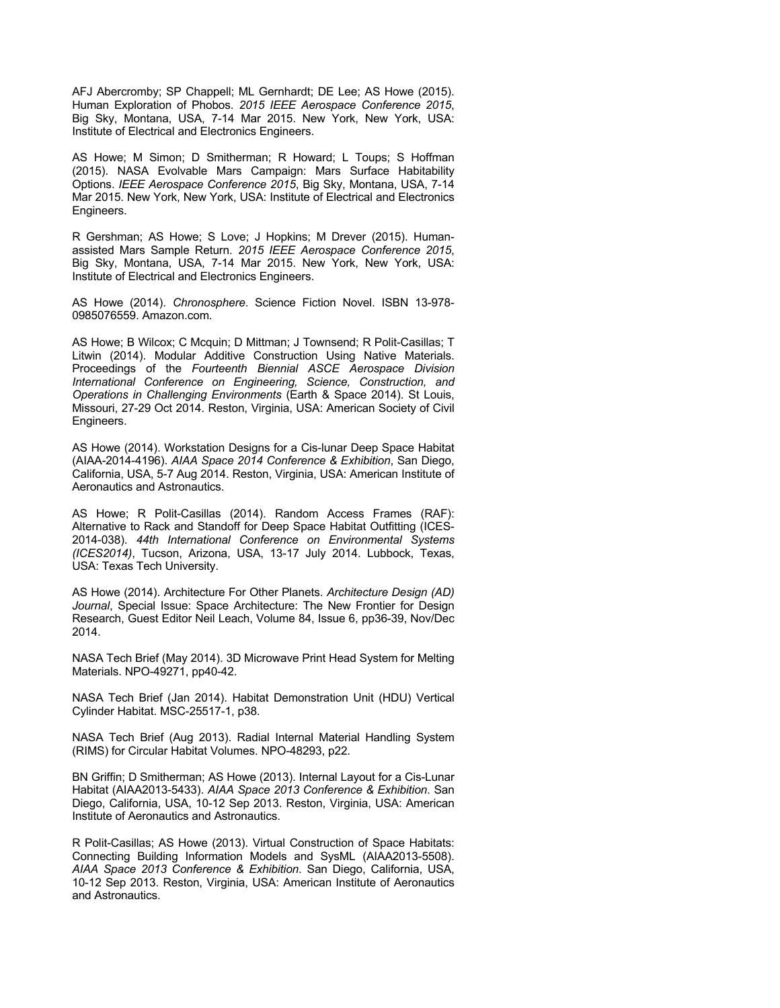AFJ Abercromby; SP Chappell; ML Gernhardt; DE Lee; AS Howe (2015). Human Exploration of Phobos. *2015 IEEE Aerospace Conference 2015*, Big Sky, Montana, USA, 7-14 Mar 2015. New York, New York, USA: Institute of Electrical and Electronics Engineers.

AS Howe; M Simon; D Smitherman; R Howard; L Toups; S Hoffman (2015). NASA Evolvable Mars Campaign: Mars Surface Habitability Options. *IEEE Aerospace Conference 2015*, Big Sky, Montana, USA, 7-14 Mar 2015. New York, New York, USA: Institute of Electrical and Electronics Engineers.

R Gershman; AS Howe; S Love; J Hopkins; M Drever (2015). Humanassisted Mars Sample Return. *2015 IEEE Aerospace Conference 2015*, Big Sky, Montana, USA, 7-14 Mar 2015. New York, New York, USA: Institute of Electrical and Electronics Engineers.

AS Howe (2014). *Chronosphere*. Science Fiction Novel. ISBN 13-978- 0985076559. Amazon.com.

AS Howe; B Wilcox; C Mcquin; D Mittman; J Townsend; R Polit-Casillas; T Litwin (2014). Modular Additive Construction Using Native Materials. Proceedings of the *Fourteenth Biennial ASCE Aerospace Division International Conference on Engineering, Science, Construction, and Operations in Challenging Environments* (Earth & Space 2014). St Louis, Missouri, 27-29 Oct 2014. Reston, Virginia, USA: American Society of Civil Engineers.

AS Howe (2014). Workstation Designs for a Cis-lunar Deep Space Habitat (AIAA-2014-4196). *AIAA Space 2014 Conference & Exhibition*, San Diego, California, USA, 5-7 Aug 2014. Reston, Virginia, USA: American Institute of Aeronautics and Astronautics.

AS Howe; R Polit-Casillas (2014). Random Access Frames (RAF): Alternative to Rack and Standoff for Deep Space Habitat Outfitting (ICES-2014-038). *44th International Conference on Environmental Systems (ICES2014)*, Tucson, Arizona, USA, 13-17 July 2014. Lubbock, Texas, USA: Texas Tech University.

AS Howe (2014). Architecture For Other Planets. *Architecture Design (AD) Journal*, Special Issue: Space Architecture: The New Frontier for Design Research, Guest Editor Neil Leach, Volume 84, Issue 6, pp36-39, Nov/Dec 2014.

NASA Tech Brief (May 2014). 3D Microwave Print Head System for Melting Materials. NPO-49271, pp40-42.

NASA Tech Brief (Jan 2014). Habitat Demonstration Unit (HDU) Vertical Cylinder Habitat. MSC-25517-1, p38.

NASA Tech Brief (Aug 2013). Radial Internal Material Handling System (RIMS) for Circular Habitat Volumes. NPO-48293, p22.

BN Griffin; D Smitherman; AS Howe (2013). Internal Layout for a Cis-Lunar Habitat (AIAA2013-5433). *AIAA Space 2013 Conference & Exhibition*. San Diego, California, USA, 10-12 Sep 2013. Reston, Virginia, USA: American Institute of Aeronautics and Astronautics.

R Polit-Casillas; AS Howe (2013). Virtual Construction of Space Habitats: Connecting Building Information Models and SysML (AIAA2013-5508). *AIAA Space 2013 Conference & Exhibition*. San Diego, California, USA, 10-12 Sep 2013. Reston, Virginia, USA: American Institute of Aeronautics and Astronautics.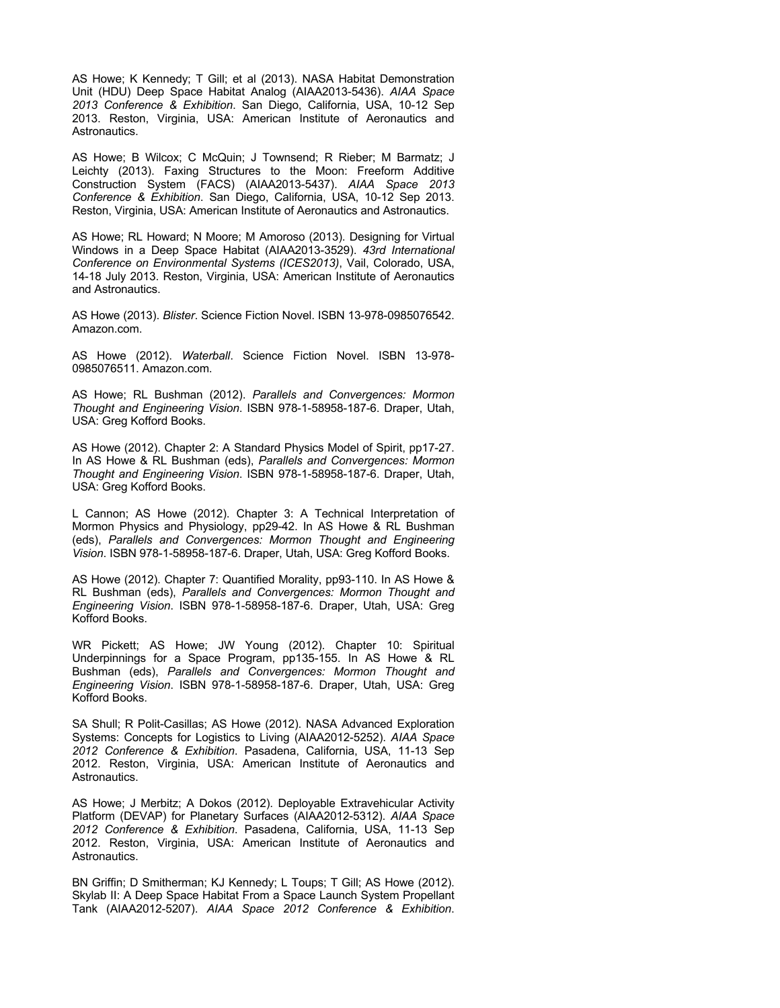AS Howe; K Kennedy; T Gill; et al (2013). NASA Habitat Demonstration Unit (HDU) Deep Space Habitat Analog (AIAA2013-5436). *AIAA Space 2013 Conference & Exhibition*. San Diego, California, USA, 10-12 Sep 2013. Reston, Virginia, USA: American Institute of Aeronautics and Astronautics.

AS Howe; B Wilcox; C McQuin; J Townsend; R Rieber; M Barmatz; J Leichty (2013). Faxing Structures to the Moon: Freeform Additive Construction System (FACS) (AIAA2013-5437). *AIAA Space 2013 Conference & Exhibition*. San Diego, California, USA, 10-12 Sep 2013. Reston, Virginia, USA: American Institute of Aeronautics and Astronautics.

AS Howe; RL Howard; N Moore; M Amoroso (2013). Designing for Virtual Windows in a Deep Space Habitat (AIAA2013-3529). *43rd International Conference on Environmental Systems (ICES2013)*, Vail, Colorado, USA, 14-18 July 2013. Reston, Virginia, USA: American Institute of Aeronautics and Astronautics.

AS Howe (2013). *Blister*. Science Fiction Novel. ISBN 13-978-0985076542. Amazon.com.

AS Howe (2012). *Waterball*. Science Fiction Novel. ISBN 13-978- 0985076511. Amazon.com.

AS Howe; RL Bushman (2012). *Parallels and Convergences: Mormon Thought and Engineering Vision*. ISBN 978-1-58958-187-6. Draper, Utah, USA: Greg Kofford Books.

AS Howe (2012). Chapter 2: A Standard Physics Model of Spirit, pp17-27. In AS Howe & RL Bushman (eds), *Parallels and Convergences: Mormon Thought and Engineering Vision*. ISBN 978-1-58958-187-6. Draper, Utah, USA: Greg Kofford Books.

L Cannon; AS Howe (2012). Chapter 3: A Technical Interpretation of Mormon Physics and Physiology, pp29-42. In AS Howe & RL Bushman (eds), *Parallels and Convergences: Mormon Thought and Engineering Vision*. ISBN 978-1-58958-187-6. Draper, Utah, USA: Greg Kofford Books.

AS Howe (2012). Chapter 7: Quantified Morality, pp93-110. In AS Howe & RL Bushman (eds), *Parallels and Convergences: Mormon Thought and Engineering Vision*. ISBN 978-1-58958-187-6. Draper, Utah, USA: Greg Kofford Books.

WR Pickett; AS Howe; JW Young (2012). Chapter 10: Spiritual Underpinnings for a Space Program, pp135-155. In AS Howe & RL Bushman (eds), *Parallels and Convergences: Mormon Thought and Engineering Vision*. ISBN 978-1-58958-187-6. Draper, Utah, USA: Greg Kofford Books.

SA Shull; R Polit-Casillas; AS Howe (2012). NASA Advanced Exploration Systems: Concepts for Logistics to Living (AIAA2012-5252). *AIAA Space 2012 Conference & Exhibition*. Pasadena, California, USA, 11-13 Sep 2012. Reston, Virginia, USA: American Institute of Aeronautics and Astronautics.

AS Howe; J Merbitz; A Dokos (2012). Deployable Extravehicular Activity Platform (DEVAP) for Planetary Surfaces (AIAA2012-5312). *AIAA Space 2012 Conference & Exhibition*. Pasadena, California, USA, 11-13 Sep 2012. Reston, Virginia, USA: American Institute of Aeronautics and Astronautics.

BN Griffin; D Smitherman; KJ Kennedy; L Toups; T Gill; AS Howe (2012). Skylab II: A Deep Space Habitat From a Space Launch System Propellant Tank (AIAA2012-5207). *AIAA Space 2012 Conference & Exhibition*.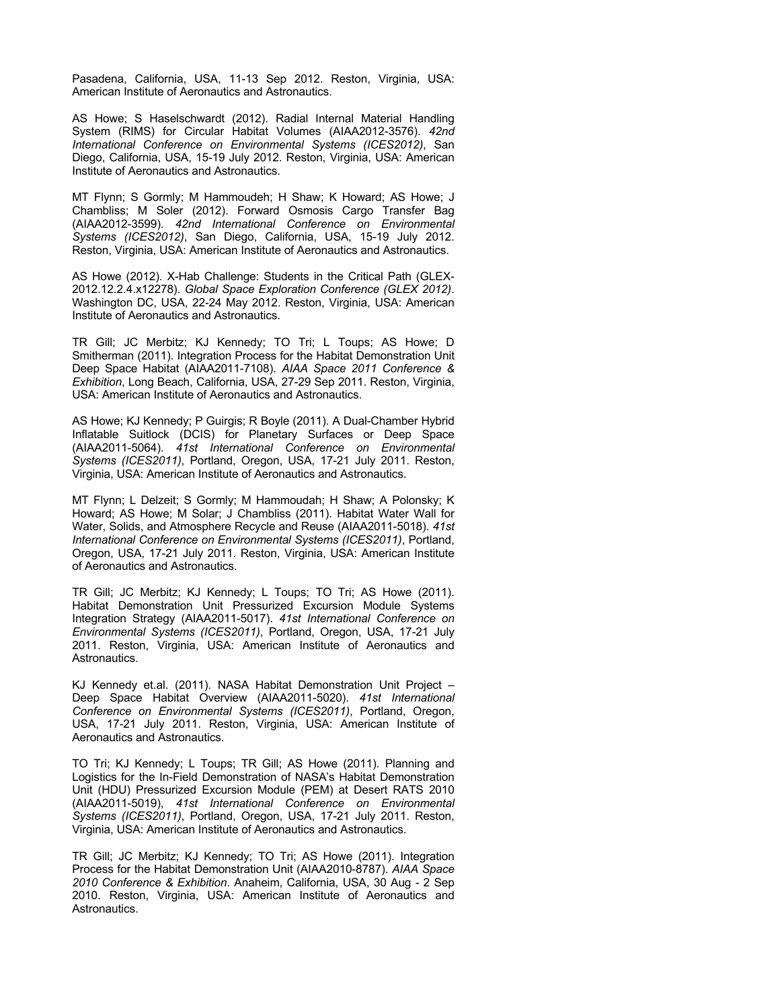Pasadena, California, USA, 11-13 Sep 2012. Reston, Virginia, USA: American Institute of Aeronautics and Astronautics.

AS Howe; S Haselschwardt (2012). Radial Internal Material Handling System (RIMS) for Circular Habitat Volumes (AIAA2012-3576). *42nd International Conference on Environmental Systems (ICES2012)*, San Diego, California, USA, 15-19 July 2012. Reston, Virginia, USA: American Institute of Aeronautics and Astronautics.

MT Flynn; S Gormly; M Hammoudeh; H Shaw; K Howard; AS Howe; J Chambliss; M Soler (2012). Forward Osmosis Cargo Transfer Bag (AIAA2012-3599). *42nd International Conference on Environmental Systems (ICES2012)*, San Diego, California, USA, 15-19 July 2012. Reston, Virginia, USA: American Institute of Aeronautics and Astronautics.

AS Howe (2012). X-Hab Challenge: Students in the Critical Path (GLEX-2012.12.2.4.x12278). *Global Space Exploration Conference (GLEX 2012)*. Washington DC, USA, 22-24 May 2012. Reston, Virginia, USA: American Institute of Aeronautics and Astronautics.

TR Gill; JC Merbitz; KJ Kennedy; TO Tri; L Toups; AS Howe; D Smitherman (2011). Integration Process for the Habitat Demonstration Unit Deep Space Habitat (AIAA2011-7108). *AIAA Space 2011 Conference & Exhibition*, Long Beach, California, USA, 27-29 Sep 2011. Reston, Virginia, USA: American Institute of Aeronautics and Astronautics.

AS Howe; KJ Kennedy; P Guirgis; R Boyle (2011). A Dual-Chamber Hybrid Inflatable Suitlock (DCIS) for Planetary Surfaces or Deep Space (AIAA2011-5064). *41st International Conference on Environmental Systems (ICES2011)*, Portland, Oregon, USA, 17-21 July 2011. Reston, Virginia, USA: American Institute of Aeronautics and Astronautics.

MT Flynn; L Delzeit; S Gormly; M Hammoudah; H Shaw; A Polonsky; K Howard; AS Howe; M Solar; J Chambliss (2011). Habitat Water Wall for Water, Solids, and Atmosphere Recycle and Reuse (AIAA2011-5018). *41st International Conference on Environmental Systems (ICES2011)*, Portland, Oregon, USA, 17-21 July 2011. Reston, Virginia, USA: American Institute of Aeronautics and Astronautics.

TR Gill; JC Merbitz; KJ Kennedy; L Toups; TO Tri; AS Howe (2011). Habitat Demonstration Unit Pressurized Excursion Module Systems Integration Strategy (AIAA2011-5017). *41st International Conference on Environmental Systems (ICES2011)*, Portland, Oregon, USA, 17-21 July 2011. Reston, Virginia, USA: American Institute of Aeronautics and Astronautics.

KJ Kennedy et.al. (2011). NASA Habitat Demonstration Unit Project – Deep Space Habitat Overview (AIAA2011-5020). *41st International Conference on Environmental Systems (ICES2011)*, Portland, Oregon, USA, 17-21 July 2011. Reston, Virginia, USA: American Institute of Aeronautics and Astronautics.

TO Tri; KJ Kennedy; L Toups; TR Gill; AS Howe (2011). Planning and Logistics for the In-Field Demonstration of NASA's Habitat Demonstration Unit (HDU) Pressurized Excursion Module (PEM) at Desert RATS 2010 (AIAA2011-5019), *41st International Conference on Environmental Systems (ICES2011)*, Portland, Oregon, USA, 17-21 July 2011. Reston, Virginia, USA: American Institute of Aeronautics and Astronautics.

TR Gill; JC Merbitz; KJ Kennedy; TO Tri; AS Howe (2011). Integration Process for the Habitat Demonstration Unit (AIAA2010-8787). *AIAA Space 2010 Conference & Exhibition*. Anaheim, California, USA, 30 Aug - 2 Sep 2010. Reston, Virginia, USA: American Institute of Aeronautics and Astronautics.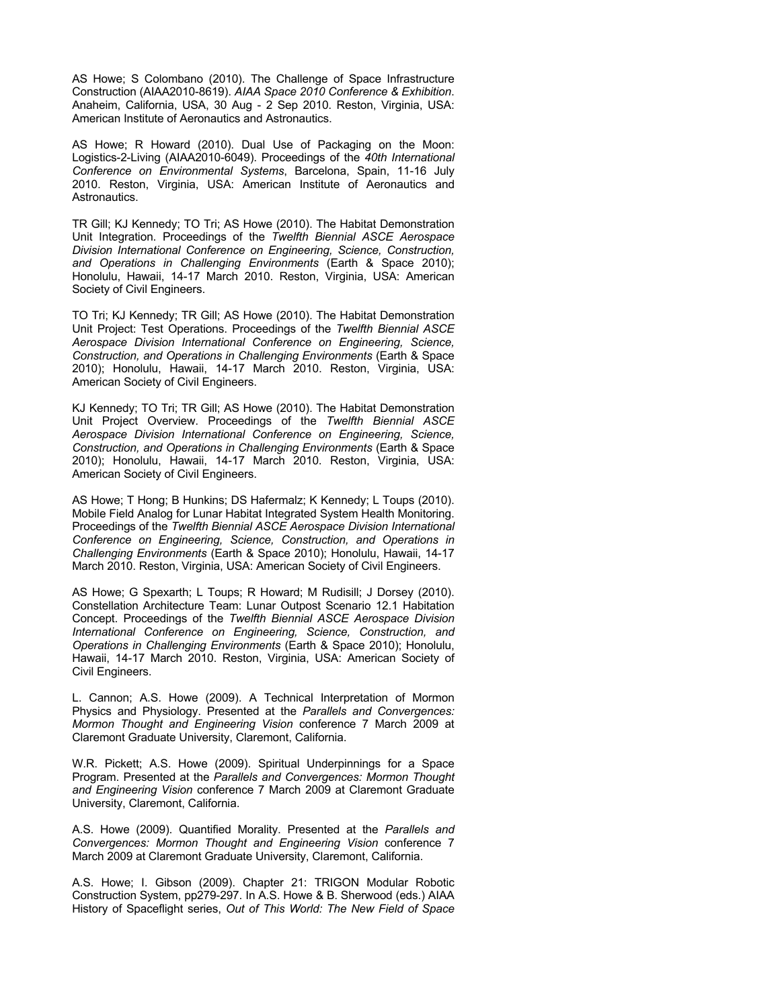AS Howe; S Colombano (2010). The Challenge of Space Infrastructure Construction (AIAA2010-8619). *AIAA Space 2010 Conference & Exhibition*. Anaheim, California, USA, 30 Aug - 2 Sep 2010. Reston, Virginia, USA: American Institute of Aeronautics and Astronautics.

AS Howe; R Howard (2010). Dual Use of Packaging on the Moon: Logistics-2-Living (AIAA2010-6049). Proceedings of the *40th International Conference on Environmental Systems*, Barcelona, Spain, 11-16 July 2010. Reston, Virginia, USA: American Institute of Aeronautics and Astronautics.

TR Gill; KJ Kennedy; TO Tri; AS Howe (2010). The Habitat Demonstration Unit Integration. Proceedings of the *Twelfth Biennial ASCE Aerospace Division International Conference on Engineering, Science, Construction, and Operations in Challenging Environments* (Earth & Space 2010); Honolulu, Hawaii, 14-17 March 2010. Reston, Virginia, USA: American Society of Civil Engineers.

TO Tri; KJ Kennedy; TR Gill; AS Howe (2010). The Habitat Demonstration Unit Project: Test Operations. Proceedings of the *Twelfth Biennial ASCE Aerospace Division International Conference on Engineering, Science, Construction, and Operations in Challenging Environments* (Earth & Space 2010); Honolulu, Hawaii, 14-17 March 2010. Reston, Virginia, USA: American Society of Civil Engineers.

KJ Kennedy; TO Tri; TR Gill; AS Howe (2010). The Habitat Demonstration Unit Project Overview. Proceedings of the *Twelfth Biennial ASCE Aerospace Division International Conference on Engineering, Science, Construction, and Operations in Challenging Environments* (Earth & Space 2010); Honolulu, Hawaii, 14-17 March 2010. Reston, Virginia, USA: American Society of Civil Engineers.

AS Howe; T Hong; B Hunkins; DS Hafermalz; K Kennedy; L Toups (2010). Mobile Field Analog for Lunar Habitat Integrated System Health Monitoring. Proceedings of the *Twelfth Biennial ASCE Aerospace Division International Conference on Engineering, Science, Construction, and Operations in Challenging Environments* (Earth & Space 2010); Honolulu, Hawaii, 14-17 March 2010. Reston, Virginia, USA: American Society of Civil Engineers.

AS Howe; G Spexarth; L Toups; R Howard; M Rudisill; J Dorsey (2010). Constellation Architecture Team: Lunar Outpost Scenario 12.1 Habitation Concept. Proceedings of the *Twelfth Biennial ASCE Aerospace Division International Conference on Engineering, Science, Construction, and Operations in Challenging Environments* (Earth & Space 2010); Honolulu, Hawaii, 14-17 March 2010. Reston, Virginia, USA: American Society of Civil Engineers.

L. Cannon; A.S. Howe (2009). A Technical Interpretation of Mormon Physics and Physiology. Presented at the *Parallels and Convergences: Mormon Thought and Engineering Vision* conference 7 March 2009 at Claremont Graduate University, Claremont, California.

W.R. Pickett; A.S. Howe (2009). Spiritual Underpinnings for a Space Program. Presented at the *Parallels and Convergences: Mormon Thought and Engineering Vision* conference 7 March 2009 at Claremont Graduate University, Claremont, California.

A.S. Howe (2009). Quantified Morality. Presented at the *Parallels and Convergences: Mormon Thought and Engineering Vision* conference 7 March 2009 at Claremont Graduate University, Claremont, California.

A.S. Howe; I. Gibson (2009). Chapter 21: TRIGON Modular Robotic Construction System, pp279-297. In A.S. Howe & B. Sherwood (eds.) AIAA History of Spaceflight series, *Out of This World: The New Field of Space*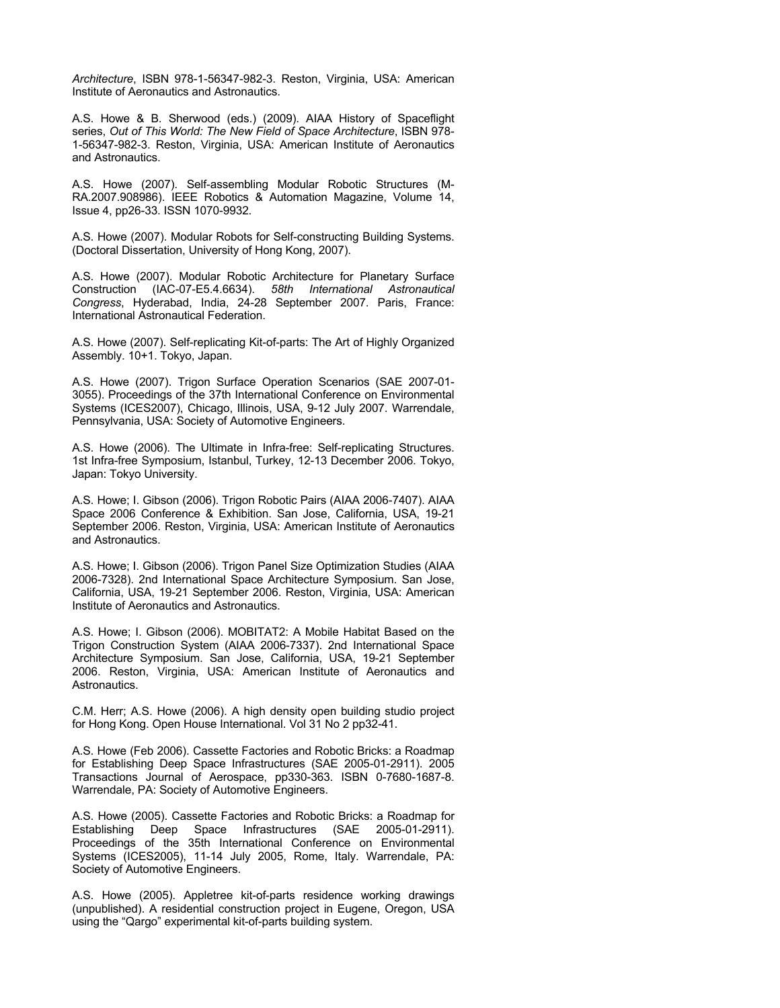*Architecture*, ISBN 978-1-56347-982-3. Reston, Virginia, USA: American Institute of Aeronautics and Astronautics.

A.S. Howe & B. Sherwood (eds.) (2009). AIAA History of Spaceflight series, *Out of This World: The New Field of Space Architecture*, ISBN 978- 1-56347-982-3. Reston, Virginia, USA: American Institute of Aeronautics and Astronautics.

A.S. Howe (2007). Self-assembling Modular Robotic Structures (M-RA.2007.908986). IEEE Robotics & Automation Magazine, Volume 14, Issue 4, pp26-33. ISSN 1070-9932.

A.S. Howe (2007). Modular Robots for Self-constructing Building Systems. (Doctoral Dissertation, University of Hong Kong, 2007).

A.S. Howe (2007). Modular Robotic Architecture for Planetary Surface Construction (IAC-07-E5.4.6634). *58th International Astronautical Congress*, Hyderabad, India, 24-28 September 2007. Paris, France: International Astronautical Federation.

A.S. Howe (2007). Self-replicating Kit-of-parts: The Art of Highly Organized Assembly. 10+1. Tokyo, Japan.

A.S. Howe (2007). Trigon Surface Operation Scenarios (SAE 2007-01- 3055). Proceedings of the 37th International Conference on Environmental Systems (ICES2007), Chicago, Illinois, USA, 9-12 July 2007. Warrendale, Pennsylvania, USA: Society of Automotive Engineers.

A.S. Howe (2006). The Ultimate in Infra-free: Self-replicating Structures. 1st Infra-free Symposium, Istanbul, Turkey, 12-13 December 2006. Tokyo, Japan: Tokyo University.

A.S. Howe; I. Gibson (2006). Trigon Robotic Pairs (AIAA 2006-7407). AIAA Space 2006 Conference & Exhibition. San Jose, California, USA, 19-21 September 2006. Reston, Virginia, USA: American Institute of Aeronautics and Astronautics.

A.S. Howe; I. Gibson (2006). Trigon Panel Size Optimization Studies (AIAA 2006-7328). 2nd International Space Architecture Symposium. San Jose, California, USA, 19-21 September 2006. Reston, Virginia, USA: American Institute of Aeronautics and Astronautics.

A.S. Howe; I. Gibson (2006). MOBITAT2: A Mobile Habitat Based on the Trigon Construction System (AIAA 2006-7337). 2nd International Space Architecture Symposium. San Jose, California, USA, 19-21 September 2006. Reston, Virginia, USA: American Institute of Aeronautics and Astronautics.

C.M. Herr; A.S. Howe (2006). A high density open building studio project for Hong Kong. Open House International. Vol 31 No 2 pp32-41.

A.S. Howe (Feb 2006). Cassette Factories and Robotic Bricks: a Roadmap for Establishing Deep Space Infrastructures (SAE 2005-01-2911). 2005 Transactions Journal of Aerospace, pp330-363. ISBN 0-7680-1687-8. Warrendale, PA: Society of Automotive Engineers.

A.S. Howe (2005). Cassette Factories and Robotic Bricks: a Roadmap for Establishing Deep Space Infrastructures (SAE 2005-01-2911). Proceedings of the 35th International Conference on Environmental Systems (ICES2005), 11-14 July 2005, Rome, Italy. Warrendale, PA: Society of Automotive Engineers.

A.S. Howe (2005). Appletree kit-of-parts residence working drawings (unpublished). A residential construction project in Eugene, Oregon, USA using the "Qargo" experimental kit-of-parts building system.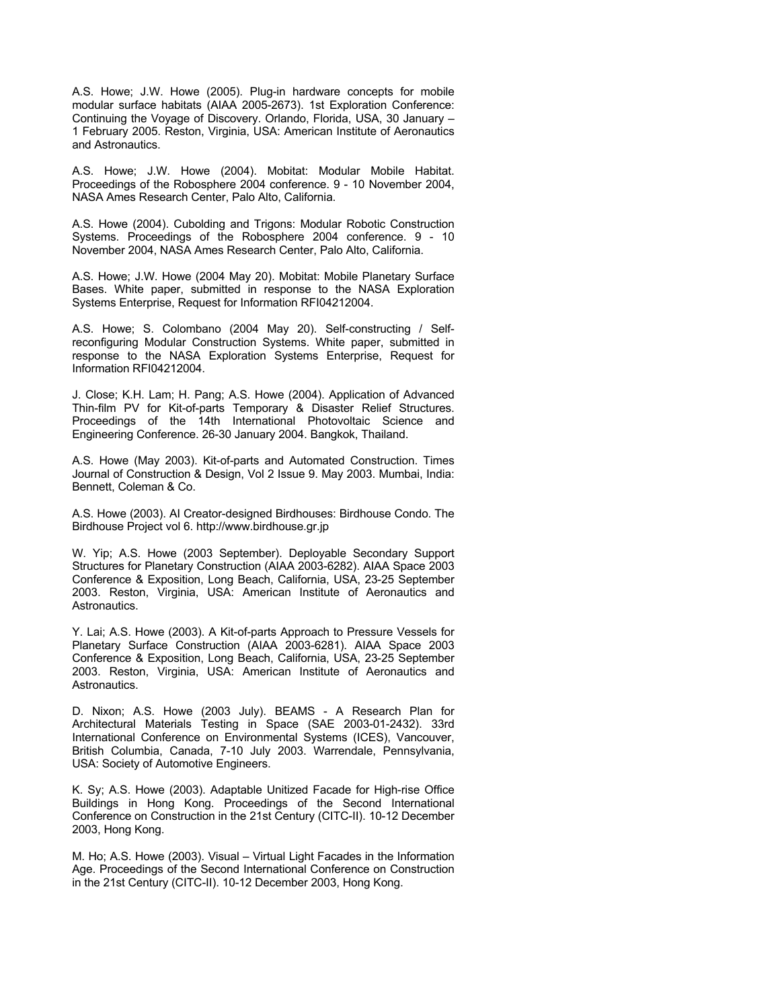A.S. Howe; J.W. Howe (2005). Plug-in hardware concepts for mobile modular surface habitats (AIAA 2005-2673). 1st Exploration Conference: Continuing the Voyage of Discovery. Orlando, Florida, USA, 30 January – 1 February 2005. Reston, Virginia, USA: American Institute of Aeronautics and Astronautics.

A.S. Howe; J.W. Howe (2004). Mobitat: Modular Mobile Habitat. Proceedings of the Robosphere 2004 conference. 9 - 10 November 2004, NASA Ames Research Center, Palo Alto, California.

A.S. Howe (2004). Cubolding and Trigons: Modular Robotic Construction Systems. Proceedings of the Robosphere 2004 conference. 9 - 10 November 2004, NASA Ames Research Center, Palo Alto, California.

A.S. Howe; J.W. Howe (2004 May 20). Mobitat: Mobile Planetary Surface Bases. White paper, submitted in response to the NASA Exploration Systems Enterprise, Request for Information RFI04212004.

A.S. Howe; S. Colombano (2004 May 20). Self-constructing / Selfreconfiguring Modular Construction Systems. White paper, submitted in response to the NASA Exploration Systems Enterprise, Request for Information RFI04212004.

J. Close; K.H. Lam; H. Pang; A.S. Howe (2004). Application of Advanced Thin-film PV for Kit-of-parts Temporary & Disaster Relief Structures. Proceedings of the 14th International Photovoltaic Science and Engineering Conference. 26-30 January 2004. Bangkok, Thailand.

A.S. Howe (May 2003). Kit-of-parts and Automated Construction. Times Journal of Construction & Design, Vol 2 Issue 9. May 2003. Mumbai, India: Bennett, Coleman & Co.

A.S. Howe (2003). AI Creator-designed Birdhouses: Birdhouse Condo. The Birdhouse Project vol 6. http://www.birdhouse.gr.jp

W. Yip; A.S. Howe (2003 September). Deployable Secondary Support Structures for Planetary Construction (AIAA 2003-6282). AIAA Space 2003 Conference & Exposition, Long Beach, California, USA, 23-25 September 2003. Reston, Virginia, USA: American Institute of Aeronautics and Astronautics.

Y. Lai; A.S. Howe (2003). A Kit-of-parts Approach to Pressure Vessels for Planetary Surface Construction (AIAA 2003-6281). AIAA Space 2003 Conference & Exposition, Long Beach, California, USA, 23-25 September 2003. Reston, Virginia, USA: American Institute of Aeronautics and Astronautics.

D. Nixon; A.S. Howe (2003 July). BEAMS - A Research Plan for Architectural Materials Testing in Space (SAE 2003-01-2432). 33rd International Conference on Environmental Systems (ICES), Vancouver, British Columbia, Canada, 7-10 July 2003. Warrendale, Pennsylvania, USA: Society of Automotive Engineers.

K. Sy; A.S. Howe (2003). Adaptable Unitized Facade for High-rise Office Buildings in Hong Kong. Proceedings of the Second International Conference on Construction in the 21st Century (CITC-II). 10-12 December 2003, Hong Kong.

M. Ho; A.S. Howe (2003). Visual – Virtual Light Facades in the Information Age. Proceedings of the Second International Conference on Construction in the 21st Century (CITC-II). 10-12 December 2003, Hong Kong.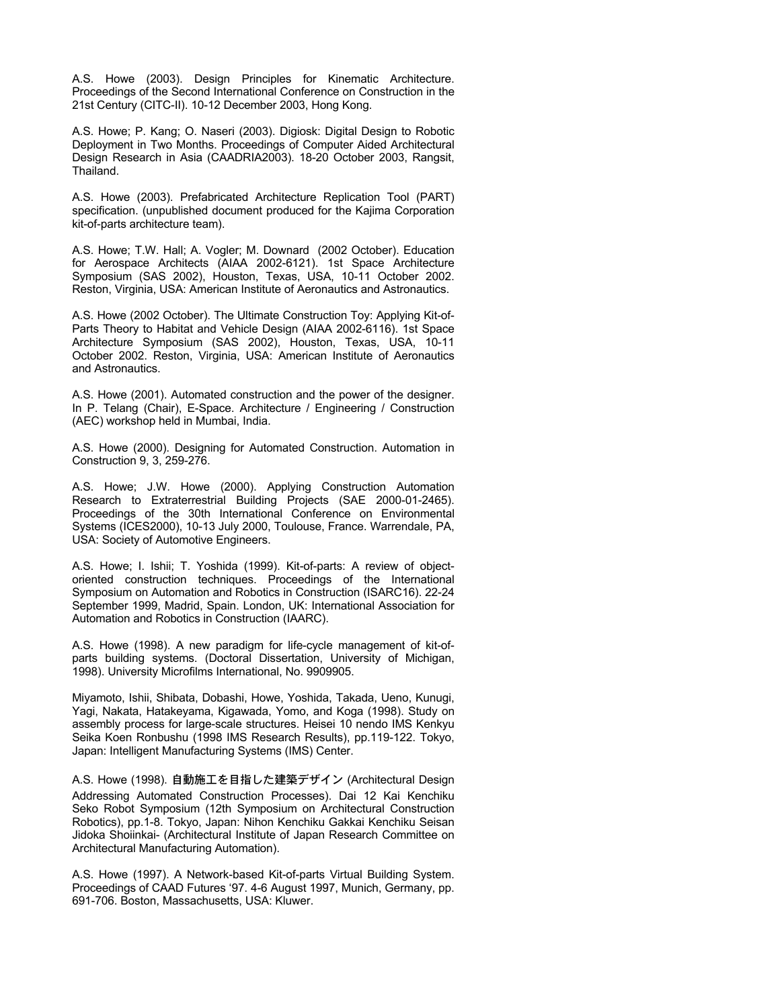A.S. Howe (2003). Design Principles for Kinematic Architecture. Proceedings of the Second International Conference on Construction in the 21st Century (CITC-II). 10-12 December 2003, Hong Kong.

A.S. Howe; P. Kang; O. Naseri (2003). Digiosk: Digital Design to Robotic Deployment in Two Months. Proceedings of Computer Aided Architectural Design Research in Asia (CAADRIA2003). 18-20 October 2003, Rangsit, Thailand.

A.S. Howe (2003). Prefabricated Architecture Replication Tool (PART) specification. (unpublished document produced for the Kajima Corporation kit-of-parts architecture team).

A.S. Howe; T.W. Hall; A. Vogler; M. Downard (2002 October). Education for Aerospace Architects (AIAA 2002-6121). 1st Space Architecture Symposium (SAS 2002), Houston, Texas, USA, 10-11 October 2002. Reston, Virginia, USA: American Institute of Aeronautics and Astronautics.

A.S. Howe (2002 October). The Ultimate Construction Toy: Applying Kit-of-Parts Theory to Habitat and Vehicle Design (AIAA 2002-6116). 1st Space Architecture Symposium (SAS 2002), Houston, Texas, USA, 10-11 October 2002. Reston, Virginia, USA: American Institute of Aeronautics and Astronautics.

A.S. Howe (2001). Automated construction and the power of the designer. In P. Telang (Chair), E-Space. Architecture / Engineering / Construction (AEC) workshop held in Mumbai, India.

A.S. Howe (2000). Designing for Automated Construction. Automation in Construction 9, 3, 259-276.

A.S. Howe; J.W. Howe (2000). Applying Construction Automation Research to Extraterrestrial Building Projects (SAE 2000-01-2465). Proceedings of the 30th International Conference on Environmental Systems (ICES2000), 10-13 July 2000, Toulouse, France. Warrendale, PA, USA: Society of Automotive Engineers.

A.S. Howe; I. Ishii; T. Yoshida (1999). Kit-of-parts: A review of objectoriented construction techniques. Proceedings of the International Symposium on Automation and Robotics in Construction (ISARC16). 22-24 September 1999, Madrid, Spain. London, UK: International Association for Automation and Robotics in Construction (IAARC).

A.S. Howe (1998). A new paradigm for life-cycle management of kit-ofparts building systems. (Doctoral Dissertation, University of Michigan, 1998). University Microfilms International, No. 9909905.

Miyamoto, Ishii, Shibata, Dobashi, Howe, Yoshida, Takada, Ueno, Kunugi, Yagi, Nakata, Hatakeyama, Kigawada, Yomo, and Koga (1998). Study on assembly process for large-scale structures. Heisei 10 nendo IMS Kenkyu Seika Koen Ronbushu (1998 IMS Research Results), pp.119-122. Tokyo, Japan: Intelligent Manufacturing Systems (IMS) Center.

A.S. Howe (1998). 自動施工を目指した建築デザイン (Architectural Design Addressing Automated Construction Processes). Dai 12 Kai Kenchiku Seko Robot Symposium (12th Symposium on Architectural Construction Robotics), pp.1-8. Tokyo, Japan: Nihon Kenchiku Gakkai Kenchiku Seisan Jidoka Shoiinkai- (Architectural Institute of Japan Research Committee on Architectural Manufacturing Automation).

A.S. Howe (1997). A Network-based Kit-of-parts Virtual Building System. Proceedings of CAAD Futures '97. 4-6 August 1997, Munich, Germany, pp. 691-706. Boston, Massachusetts, USA: Kluwer.